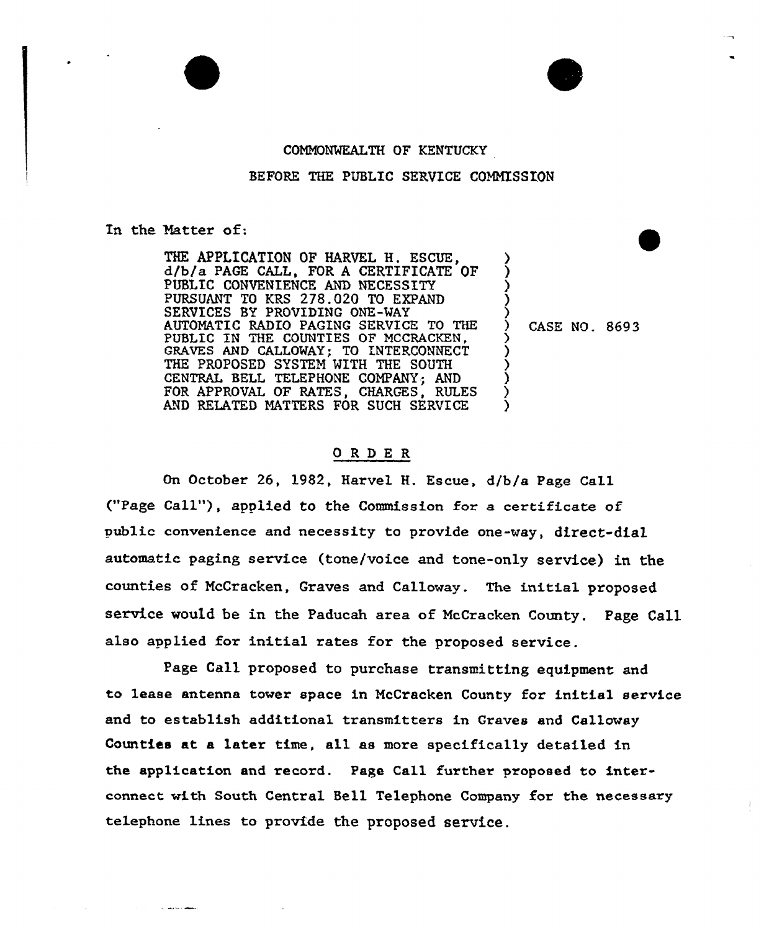#### COMNONMEALTH QF KENTUCKY

### BEFORE THE PUBLIC SERVICE CONNISSION

#### In the Matter of:

**Contractor Mark** 

THE APPLICATION OF HARVEL H. ESCUE, d/bfa PAGE CALL, FOR <sup>A</sup> CERTIFICATE OF PUBLIC CONVENIENCE AND NECESSITY PURSUANT TO KRS 2?8.020 TO EXPAND SERVICES BY PROVIDING ONE-MAY AUTONATIC RADIO PAGING SERVICE TO THE PUBLIC IN THE COUNTIES OP MCCRACKEN, GRAVES AND CALLOMAY; To INTERCONNECT THE PROPOSED SYSTEM WITH THE SOUTH CENTRAL BELL TELEPHONE COMPANY; AND FOR APPROVAL OF RATES, CHARGES, RULES AND RELATED MATTERS FOR SUCH SERVICE

) CASE NO. 8693<br>>

) <u>ز</u> ) )

⟩

) ) ) )  $\mathbf{\hat{y}}$ 

## ORDER

On October 26, 1982, Harvel H. Escue, d/b/a Page Call ("Page Call"), applied to the Commission for a certificate of public convenience and necessity to provide one-vay, direct-dial automatic paging service (tone/voice and tone-only service) in the counties of McCracken, Graves and Calloway. The initial proposed service would be in the Paducah area of NcCracken County. Page Call also applied for initial rates for the proposed service.

Page Call proposed to purchase transmitting equipment and to lease antenna tower space in NcCracken County for initial service and to establish additional transmitters in Graves and Calloway Counties at a later time, all as more specifically detailed in the application and record. Page Call further proposed to interconnect with South Central Bell Telephone Company for the necessary telephone lines to provide the proposed service.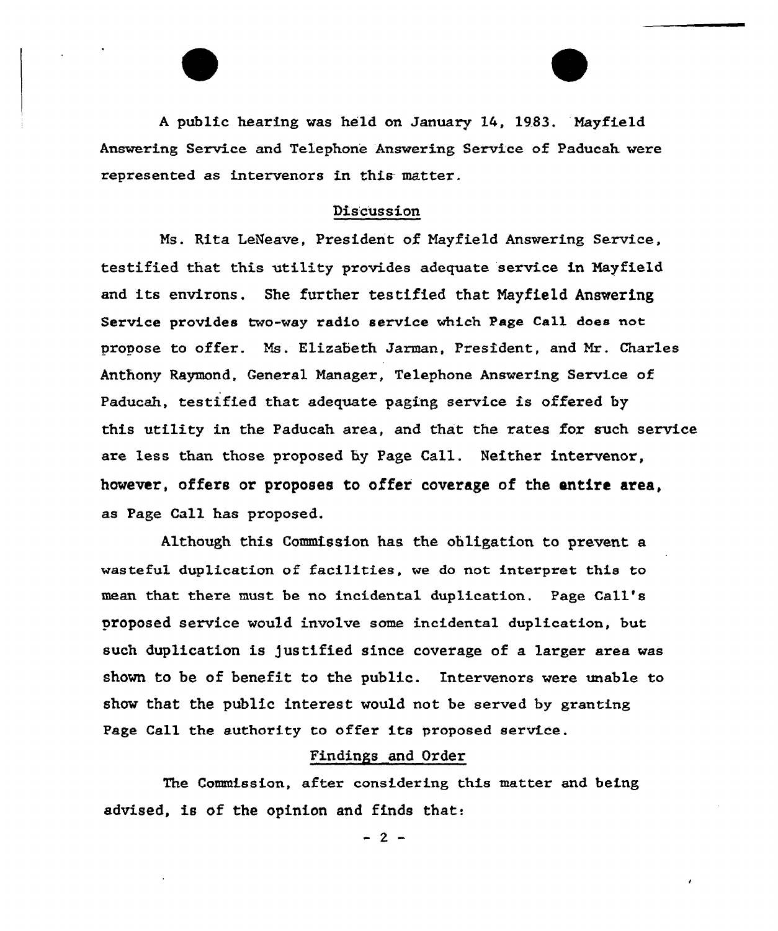<sup>A</sup> public hearing was held on January 14, 19.83. Mayfield Answering Service and Telephone Answering Service of Paducah were represented as intervenozs in this matter.

# Discussion

Ms. Rita LeNeave, President of Mayfield Answering Service, testified that. this utility provides adequate service in Mayfield and its environs. She further testified that Nayfield Answering Service provides two-way radio service which Page Call does not pxopose to offer. Ms. Elirabeth Jaxman, President, and Mr. Chax'les Anthony Raymond, General Manager, Telephone Answering Service of Paducah, testified that adequate paging service is offered by this utility in the Paducah area, and that the rates for such service are less than those proposed by Page Call. Neither intervenor, however, offers or proposes to offer coverage of the entire area, as Page Call has proposed.

Although this Commission has the obligation to prevent a wasteful duplication of facilities, we do not interpret this to mean that thexe must be no incidenta1 duplication. Page Call's proposed service would involve some incidental duplication, but such duplication is justified since coverage of a larger area was shown to be of benefit to the public. Intervenors were unable to show that the public interest would not be served by granting Page Call the authority to offer its proposed service.

# Findings and Order

The Commission, after considering this matter and being advised, is of the opinion and finds that:

 $-2-$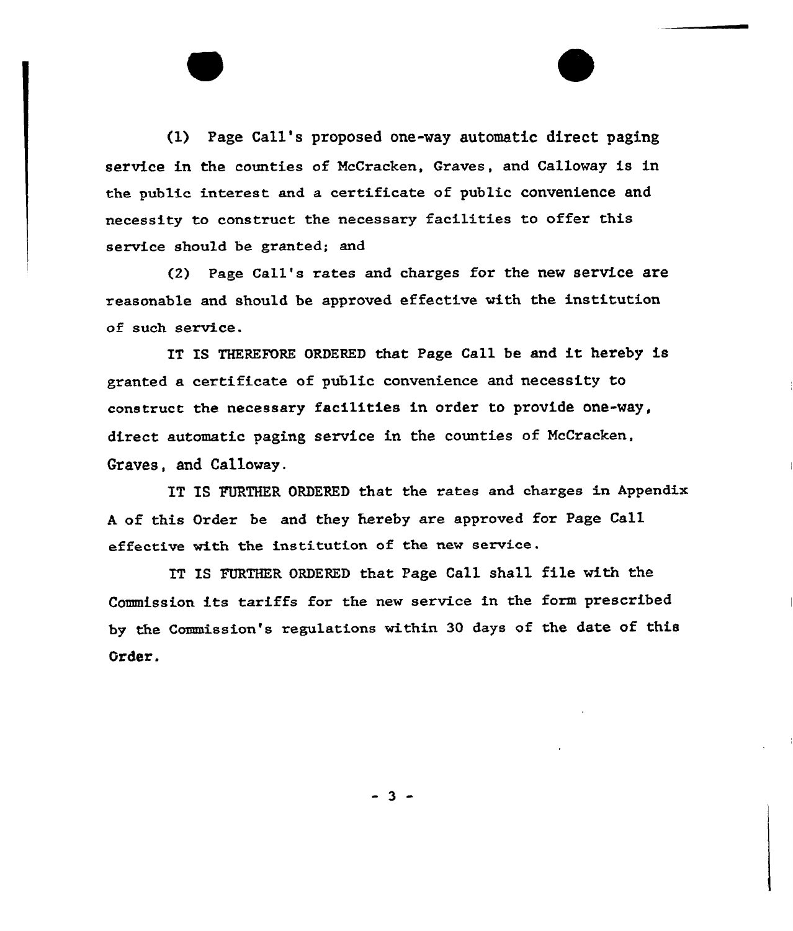(1) Page Call's proposed one-way automatic direct paging service in the counties of McCracken, Craves, and Calloway is in the public interest and a certificate of public convenience and necessity to construct the necessary facilities to offer this service should be granted; and

{2) Page Call's rates and charges for the new service are xeasonable and should be approved effective with the institution of such service.

IT IS THEREFORE ORDERED that Page Call be and it hereby is granted a certificate of public convenience and necessity to construct the necessaxy facilities in oxder to provide one-way, direct automatic paging service in the counties of NcCracken, Graves, and Callovay.

IT IS FURTHER ORDERED that the rates and charges in Appendix A of this Order be and they hereby are approved for Page Call effective with the institution of the new service.

IT IS FURTHER ORDERED that Page Call shall file with the Commission its tariffs for the new service in the form prescribed by the Commission's regulations within 30 days of the date of this Order.

 $-3 -$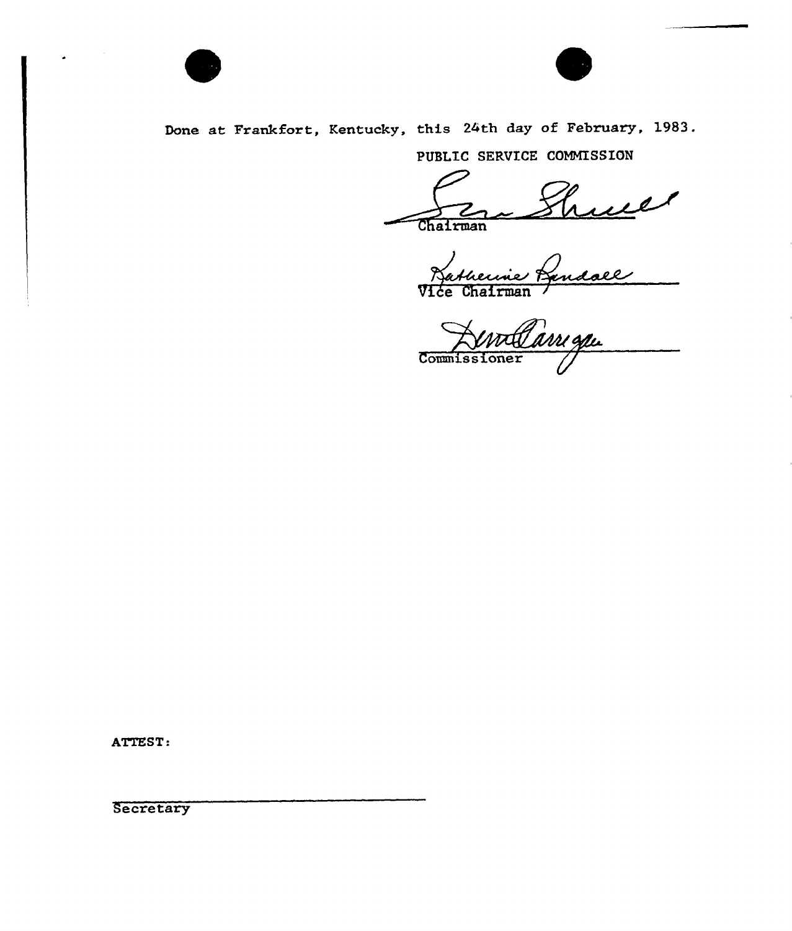



Done at Frankfort, Kentucky, this 24th day of February, 1983.

PUBLIC SERVICE COMMISSION

Vice Chairman /

Co

ATTEST:

**Secretary**